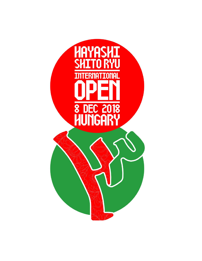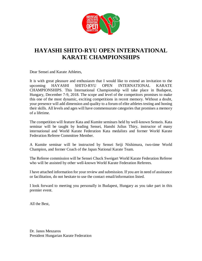

# **HAYASHI SHITO-RYU OPEN INTERNATIONAL KARATE CHAMPIONSHIPS**

Dear Sensei and Karate Athletes,

It is with great pleasure and enthusiasm that I would like to extend an invitation to the upcoming HAYASHI SHITO-RYU OPEN INTERNATIONAL KARATE CHAMPIONSHIPS. This International Championship will take place in Budapest, Hungary, December 7-9, 2018. The scope and level of the competitors promises to make this one of the most dynamic, exciting competitions in recent memory. Without a doubt, your presence will add dimension and quality to a forum of elite athletes testing and honing their skills. All levels and ages will have commensurate categories that promises a memory of a lifetime.

The competition will feature Kata and Kumite seminars held by well-known Senseis. Kata seminar will be taught by leading Sensei, Hanshi Julius Thiry, instructor of many international and World Karate Federation Kata medalists and former World Karate Federation Referee Committee Member.

A Kumite seminar will be instructed by Sensei Seiji Nishimura, two-time World Champion, and former Coach of the Japan National Karate Team.

The Referee commission will be Sensei Chuck Sweigart World Karate Federation Referee who will be assisted by other well-known World Karate Federation Referees.

I have attached information for your review and submission. If you are in need of assistance or facilitation, do not hesitate to use the contact email/information listed.

I look forward to meeting you personally in Budapest, Hungary as you take part in this premier event.

All the Best,

Dr. Janos Meszaros President Hungarian Karate Federation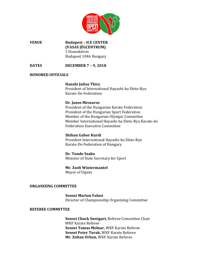

**VENUE Budapest – ICE CENTER (VASAS JÉGCENTRUM)** 1 Homoktövis Budapest 1046 Hungary

**DATES DECEMBER 7 – 9, 2018**

#### **HONORED OFFICIALS**

## **Hanshi Julius Thiry**

President of International Hayashi-ha Shito-Ryu Karate-Do Federation

#### **Dr. Janos Meszaros**

President of the Hungarian Karate Federation President of the Hungarian Sport Federation Member of the Hungarian Olympic Committee Member International Hayashi-ha Shito-Ryu Karate-do Federation Executive Committee

## **Shihan Gabor Kurdi**

President International Hayashi-ha Shito-Ryu Karate-Do Federation of Hungary

#### **Dr. Tunde Szabo**

Minister of State Secretary for Sport

## **Mr. Zsolt Wintermantel**

Mayor of Ujpest

#### **ORGANIZING COMMITTEE**

**Sensei Marton Falusi** Director of Championship Organizing Committee

#### **REFEREE COMMITTEE**

**Sensei Chuck Sweigart,** Referee Committee Chair WKF Karate Referee **Sensei Tamas Molnar,** WKF Karate Referee **Sensei Peter Turak,** WKF Karate Referee **Mr. Zoltan Orban,** WKF Karate Referee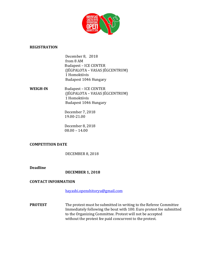

### **REGISTRATION**

December 8, 2018 from 8 AM Budapest – ICE CENTER (JÉGPALOTA – VASAS JÉGCENTRUM) 1 Homoktövis Budapest 1046 Hungary

**WEIGH-IN** Budapest – ICE CENTER (JÉGPALOTA – VASAS JÉGCENTRUM) 1 Homoktövis Budapest 1046 Hungary

> December 7, 2018 19.00-21.00

> December 8, 2018 08.00 – 14.00

## **COMPETITION DATE**

DECEMBER 8, 2018

## **Deadline**

**DECEMBER 1, 2018**

## **CONTACT INFORMATION**

[hayashi.openshitoryu@gmail.com](mailto:hayashi.openshitoryu@gmail.com)

**PROTEST** The protest must be submitted in writing to the Referee Committee Immediately following the bout with 100. Euro protest fee submitted to the Organizing Committee. Protest will not be accepted without the protest fee paid concurrent to the protest.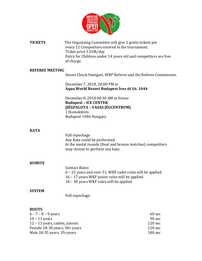

**TICKETS** The Organizing Committee will give 2 gratis tickets per every 12 Competitors entered in the tournament. Ticket price 5 EUR/day Entry for Children under 14 years old and competitors are free of charge.

#### **REFEREE MEETING**

Sensei Chuck Sweigart, WKF Referee and the Referee Commission.

December 7, 2018, 20:00 PM at **Aqua World Resort Budapest Íves út 16. 1044**

December 8, 2018 08.30 AM at Venue **Budapest – ICE CENTER (JÉGPALOTA – VASAS JÉGCENTRUM)** 1 Homoktövis Budapest 1046 Hungary

#### **KATA**

Full repechage Any Kata could be performed. In the medal rounds (final and bronze matches) competitors may choose to perform any kata.

#### **KUMITE**

Contact Rules: – 15 years and over 31, WKF cadet rules will be applied – 17 years WKF junior rules will be applied – 30 years WKF rules will be applied

#### **SYSTEM**

Full repechage

#### **BOUTS**

| $6 - 7 - 8 - 9$ years          | 60 sec            |
|--------------------------------|-------------------|
| $10 - 11$ years                | 90 sec            |
| 12 – 13 years, cadets, juniors | $120 \text{ sec}$ |
| Female 18-30 years, 30+ years  | $120 \text{ sec}$ |
| Male 18-35 years, 35+years     | $180 \text{ sec}$ |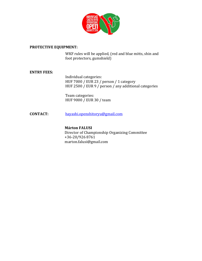

#### **PROTECTIVE EQUIPMENT:**

WKF rules will be applied, (red and blue mitts, shin and foot protectors, gumshield)

## **ENTRY FEES:**

Individual categories: HUF 7000 / EUR 23 / person / 1 category HUF 2500 / EUR 9 / person / any additional categories

Team categories: HUF 9000 / EUR 30 / team

## **CONTACT:** [hayashi.openshitoryu@gmail.com](mailto:hayashi.openshitoryu@gmail.com)

## **Márton FALUSI** Director of Championship Organizing Committee +36-20/926 8761 marton.falusi@gmail.com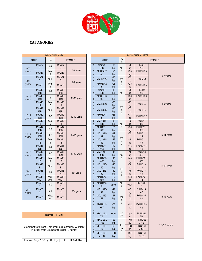

## **CATAGORIES:**

|                    |                            | <b>INDIVIDUAL KATA</b> |                     |                     |                                |                                  |                     |                         |  |
|--------------------|----------------------------|------------------------|---------------------|---------------------|--------------------------------|----------------------------------|---------------------|-------------------------|--|
| <b>MALE</b>        |                            | kyu                    | <b>FEMALE</b>       |                     |                                | <b>MALE</b>                      |                     | ky<br>u                 |  |
| $6 - 7$            | MKA67<br>B                 | $10-9$                 | MKA67<br>B          |                     | $6\phantom{1}$                 | <b>MKU67-</b><br>25B             | $-25$<br>kg         | $10-$                   |  |
| years              | MKA67                      | from<br>8              | MKA67               | 6-7 years           | $\overline{7}$<br>y            | <b>MKU67+2</b><br>5B             | $+25$<br>kg         | 9                       |  |
| $8 - 9$            | <b>MKA89</b><br>B          | $10-9$                 | <b>MKA89</b><br>B   |                     | e<br>a                         | <b>MKU67-25</b>                  | $-25$<br>kg         | fro<br>m                |  |
| years              | <b>MKA89</b>               | from<br>8              | <b>MKA89</b>        | 8-9 years           | r<br>S                         | <b>MKU67+2</b><br>5              | $+25$<br>kg         | 8                       |  |
|                    | MKA10<br>11B               | $10-9$                 | MKA10<br>11B        |                     | 8                              | <b>MKU89-</b><br>30 <sub>B</sub> | $-30$<br>kg         | $10-$                   |  |
| $10 - 11$<br>years | <b>MKA10</b><br>11N        | 8                      | MKA10<br><b>11N</b> | 10-11 years         | 9                              | <b>MKU89+3</b><br>0 <sub>B</sub> | $+30$<br>kg         | 9                       |  |
|                    | MKA10<br>11                | from<br>7              | MKA10<br>11         |                     | y<br>e                         | <b>MKU89-25</b>                  | $-25$<br>kg         | fro                     |  |
|                    | MKA12<br>13B               | $10-9$                 | MKA12<br>13B        | 12-13 years         | a<br>r                         | <b>MKU89-35</b>                  | $-35$<br>kg         | m<br>8                  |  |
| $12 - 13$<br>years | <b>MKA12</b><br><b>13N</b> | $8 - 7$                | MKA12<br><b>13N</b> |                     |                                | S                                | <b>MKU89+3</b><br>5 | $+35$<br>kg             |  |
|                    | MKA12<br>13                | from<br>6              | MKA12<br>13         |                     | $\mathbf{1}$<br>$\overline{0}$ | <b>MKU1011-</b><br>36B           | $-36$<br>kg         | $10-$                   |  |
|                    | MKA14<br>15B               | $10-9$                 | MKA14<br>15B        | 14-15 years         | $\mathbf{1}$                   | <b>MKU1011</b><br>$+36B$         | $+36$<br>kg         | 8                       |  |
| $14 - 15$<br>years | MKA14<br><b>15N</b>        | $8 - 7$                | MKA14<br><b>15N</b> |                     | $\mathbf{1}$<br>y              | <b>MKU1011-</b><br>32            | $-32$<br>kg         | fro                     |  |
|                    | MKA14<br>15                | from<br>6              | MKA14<br>15         |                     | e<br>a                         | <b>MKU1011-</b><br>42            | $-42$<br>kg         | m<br>$\overline{7}$     |  |
|                    | MKA16<br>17B               | $10-9$                 | MKA16<br>17B        |                     | r<br>S                         | <b>MKU1011</b><br>$+42$          | $+42$<br>kg         |                         |  |
| $16 - 17$<br>years | MKA16<br><b>17N</b>        | $8 - 7$                | MKA16<br><b>17N</b> | 16-17 years         | $\mathbf{1}$<br>$\overline{2}$ | <b>MKU1213-</b><br>45B           | $-45$<br>kg         | $10-$                   |  |
|                    | MKA16<br>17                | from<br>6              | MKA16<br>17         |                     | L,<br>$\mathbf{1}$             | <b>MKU1213</b><br>$+45B$         | $+45$<br>kg         | 8                       |  |
|                    | MKA18<br>B                 | $10-7$                 | MKA18<br>B          |                     | 3<br>y                         | <b>MKU1213-</b><br>40            | $-40$<br>kg         | fro                     |  |
| $18+$<br>years     | MKA18<br>N                 | $6 - 4$                | MKA18<br>N          | $18 + \text{years}$ | e<br>a                         | <b>MKU1213-</b><br>50            | $-50$<br>kg         | m<br>$\overline{7}$     |  |
|                    | MKA18<br><b>WKF</b>        | open<br><b>WKF</b>     | MKA18<br><b>WKF</b> |                     | r<br>s                         | <b>MKU1213</b><br>$+50$          | $+50$<br>kg         |                         |  |
|                    | MKA35<br>B                 | $10 - 7$               | MKA35<br>B          |                     | $\mathbf{1}$<br>$\overline{4}$ | <b>MKU1415</b><br>B              | open                | $10-$<br>$\overline{7}$ |  |
| $35+$<br>years     | MKA35<br>N                 | $6 - 4$                | MKA35<br>N          | 35+ years           | $\mathbf{1}$                   | <b>MKU1415-</b><br>47            | $-47$<br>kg         |                         |  |
|                    | <b>MKA35</b>               | Mast<br>er             | MKA35               |                     | 5<br>y                         | <b>MKU1415-</b><br>57            | $-57$<br>kg         | fro                     |  |

| <b>KUMITE TEAM</b>                                                                                  | 6                |
|-----------------------------------------------------------------------------------------------------|------------------|
| 3 competitors from 3 different age category will fight<br>in order from younger to older (3 fights) | 7<br>V<br>e<br>a |
| Female 8-9y, 10-11y, 12-13y<br>FKUTEAMU14                                                           |                  |

| <b>INDIVIDUAL KATA</b>                                                                              |                          |                        | <b>INDIVIDUAL KUMITE</b>         |                                            |                                               |                                             |                      |                                            |                      |                                         |               |
|-----------------------------------------------------------------------------------------------------|--------------------------|------------------------|----------------------------------|--------------------------------------------|-----------------------------------------------|---------------------------------------------|----------------------|--------------------------------------------|----------------------|-----------------------------------------|---------------|
|                                                                                                     | <b>MALE</b>              | kyu                    | <b>FEMALE</b>                    |                                            |                                               | <b>MALE</b>                                 |                      | ky<br>u                                    |                      |                                         | <b>FEMALE</b> |
| $6-7$                                                                                               | MKA67<br>B               | $10-9$                 | MKA67<br>B                       | 6-7 years                                  | $6\phantom{1}$                                | MKU67-<br>25B<br><b>MKU67+2</b>             | $-25$<br>kg<br>$+25$ | $10-$<br>9                                 | $-25$<br>kg<br>$+25$ | <b>FKU67-</b><br>25B<br><b>FKU67+25</b> |               |
| years                                                                                               | MKA67                    | from<br>8              | MKA67                            |                                            | $\overline{7}$<br>y                           | 5B                                          | kg                   |                                            | kg                   | B                                       | 6-7 years     |
| $8-9$<br>years                                                                                      | MKA89<br>B               | $10-9$<br>from         | <b>MKA89</b><br>B                | 8-9 years                                  | e<br>a<br>$\mathsf{r}$                        | <b>MKU67-25</b><br><b>MKU67+2</b>           | $-25$<br>kg<br>$+25$ | fro<br>m                                   | $-25$<br>kg<br>$+25$ | <b>FKU67-25</b>                         |               |
|                                                                                                     | <b>MKA89</b><br>MKA10    | 8                      | <b>MKA89</b><br>MKA10            |                                            | $\mathbb S$                                   | 5<br><b>MKU89-</b>                          | kg<br>$-30$          | 8                                          | kg<br>$-28$          | <b>FKU67+25</b><br><b>FKU89-</b>        |               |
| $10 - 11$                                                                                           | 11B<br>MKA10             | $10-9$<br>8            | 11B<br>MKA10                     | 10-11 years                                | $\boldsymbol{8}$                              | 30B<br><b>MKU89+3</b>                       | kg<br>$+30$          | $10 -$<br>9                                | kg<br>$+28$          | 28B<br><b>FKU89+28</b>                  |               |
| years                                                                                               | 11N<br>MKA10<br>11       | from<br>7              | 11N<br>MKA10<br>11               |                                            | 9<br>y<br>e                                   | 0B<br><b>MKU89-25</b>                       | kg<br>$-25$<br>kg    |                                            | kg<br>$-27$<br>kg    | B<br><b>FKU89-27</b>                    | 8-9 years     |
|                                                                                                     | MKA12<br>13B             | $10-9$                 | MKA12<br>13B                     |                                            | a<br>$\mathsf{r}$                             | <b>MKU89-35</b>                             | $-35$<br>kg          | fro<br>m<br>8                              | $-37$<br>kg          | <b>FKU89-37</b>                         |               |
| $12 - 13$<br>years                                                                                  | MKA12<br><b>13N</b>      | $8 - 7$                | MKA12<br><b>13N</b>              | 12-13 years                                | $\mathbb S$                                   | <b>MKU89+3</b><br>5                         | $+35$<br>kg          |                                            | $+37$<br>kg          | FKU89+37                                |               |
|                                                                                                     | MKA12<br>13<br>MKA14     | from<br>6              | MKA12<br>13<br>MKA14             |                                            | $\mathbf{1}$<br>$\mathbf{0}$                  | <b>MKU1011-</b><br>36B<br><b>MKU1011</b>    | $-36$<br>kg<br>$+36$ | $10 -$<br>8                                | $-36$<br>kg<br>$+36$ | FKU1011-<br>36B<br>FKU1011+             |               |
| $14 - 15$                                                                                           | 15B<br>MKA14             | $10-9$<br>$8 - 7$      | 15B<br>MKA14                     | 14-15 years                                | $\mathbf{1}$<br>$\mathbf{1}$                  | $+36B$<br><b>MKU1011-</b>                   | kg<br>$-32$          |                                            | kg<br>$-35$          | 36B<br><b>FKU1011-</b>                  |               |
| years                                                                                               | <b>15N</b><br>MKA14      | from                   | <b>15N</b><br>MKA14              |                                            | y<br>e                                        | 32<br>MKU1011-                              | kg<br>$-42$          | fro<br>m                                   | kg<br>$-45$          | 35<br><b>FKU1011-</b>                   | 10-11 years   |
|                                                                                                     | 15<br>MKA16<br>17B       | 6<br>$10-9$            | 15<br>MKA16<br>17B               |                                            | a<br>$\mathsf{r}$<br>$\mathsf{s}$             | 42<br><b>MKU1011</b><br>$+42$               | kg<br>$+42$<br>kg    | $\overline{7}$                             | kg<br>$+45$<br>kg    | 45<br>FKU1011+<br>45                    |               |
| $16-17$<br>years                                                                                    | MKA16<br>17N             | $8 - 7$                | MKA16<br><b>17N</b>              | 16-17 years                                | $\mathbf{1}$<br>$\overline{c}$                | <b>MKU1213-</b><br>45B                      | $-45$<br>kg          | $10-$                                      | $-45$<br>kg          | <b>FKU1213-</b><br>45B                  |               |
|                                                                                                     | MKA16<br>17<br>MKA18     | from<br>6              | MKA16<br>17<br>MKA18             |                                            | $\mathbf{1}$<br>3                             | <b>MKU1213</b><br>$+45B$<br><b>MKU1213-</b> | $+45$<br>kg<br>$-40$ | 8                                          | $+45$<br>kg<br>$-38$ | FKU1213+<br>45B<br><b>FKU1213-</b>      |               |
| $18 +$                                                                                              | B<br>MKA18               | $10 - 7$               | B<br>MKA18                       |                                            | y<br>e                                        | 40<br>MKU1213-                              | kg<br>$-50$          | fro                                        | kg<br>$-48$          | 38<br><b>FKU1213-</b>                   | 12-13 years   |
| years                                                                                               | Ν<br>MKA18               | $6 - 4$<br>open        | N<br>MKA18                       | 18+ years                                  | $\mathsf a$<br>$\mathsf{r}$                   | 50<br><b>MKU1213</b>                        | kg<br>$+50$          | m<br>$\overline{7}$                        | kg<br>$+48$          | 48<br>FKU1213+                          |               |
|                                                                                                     | <b>WKF</b><br>MKA35<br>B | <b>WKF</b><br>$10 - 7$ | <b>WKF</b><br>MKA35<br>В         |                                            | $\mathbb S$<br>$\mathbf{1}$<br>$\overline{4}$ | $+50$<br><b>MKU1415</b><br>B                | kg<br>open           | $10-$<br>$\overline{7}$                    | kg<br>open           | 48<br><b>FKU1415</b><br>B               |               |
| $35+$<br>years                                                                                      | MKA35<br>Ν               | $6 - 4$                | MKA35<br>N                       | $35+$ years                                | $\mathbf{1}$                                  | <b>MKU1415-</b><br>47                       | $-47$<br>kg          |                                            | $-42$<br>kg          | <b>FKU1415-</b><br>42                   |               |
|                                                                                                     | MKA35                    | Mast<br>er             | MKA35                            |                                            | 5<br>y                                        | <b>MKU1415-</b><br>57                       | $-57$<br>kg          | fro<br>m                                   | $-52$<br>kg          | <b>FKU1415-</b><br>52                   | 14-15 years   |
|                                                                                                     |                          |                        |                                  |                                            | e<br>a<br>$\mathbb S$                         | <b>MKU1415</b><br>$+57$                     | $+57$<br>kg          | 6                                          | +52<br>kg            | FKU1415+<br>52                          |               |
| <b>KUMITE TEAM</b>                                                                                  |                          |                        | $\mathbf{1}$<br>6                | <b>MKU161</b><br>7B                        | ope<br>n                                      | 10<br>$-7$                                  | ope<br>n             | <b>FKU161</b><br>7B                        |                      |                                         |               |
| 3 competitors from 3 different age category will fight<br>in order from younger to older (3 fights) |                          |                        | $\mathbf{1}$<br>$\overline{7}$   | <b>MKU161</b><br>$7 - 58$<br><b>MKU161</b> | $-58$<br><u>kg</u><br>$-68$                   | fro                                         | $-48$<br>kg<br>$-58$ | <b>FKU161</b><br>$7 - 48$<br><b>FKU161</b> | 16-17 years          |                                         |               |
|                                                                                                     |                          |                        | y<br>e<br>a<br>r<br>$\mathbf{s}$ | $7 - 68$<br><b>MKU161</b><br>$7 + 68$      | kg<br>$+68$<br>kg                             | m<br>6                                      | kg<br>$+58$<br>kg    | $7 - 58$<br><b>FKU161</b><br>$7 + 58$      |                      |                                         |               |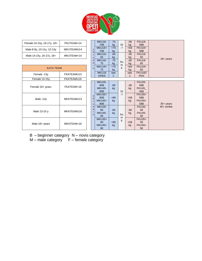

| Female 14-15y, 16-17y, 18+ | FKUTEAM+14 |                              | <b>MKU18-</b><br>70 <sub>B</sub>                                     | $-70$<br>kg | 10       | $-58$<br>kg | <b>FKU18-</b><br>58B                         |                     |
|----------------------------|------------|------------------------------|----------------------------------------------------------------------|-------------|----------|-------------|----------------------------------------------|---------------------|
| Male 8-9y, 10-11y, 12-13y  | MKUTEAMU14 | $\overline{1}$<br>8          | <b>MKU18+</b><br>70 <sub>B</sub>                                     | $+70$<br>kg | $-7$     | $+58$<br>kg | <b>FKU18+</b><br>58B                         |                     |
| Male 14-15y, 16-17y, 18+   | MKUTEAM+14 | $\ddot{}$<br>y               | <b>MKU18-</b><br>65                                                  | $-65$<br>kg |          | $-50$<br>kg | <b>FKU18-</b><br>50                          |                     |
|                            |            | e<br>a                       | <b>MKU18-</b><br>75                                                  | $-75$<br>kg | fro<br>m | $-60$<br>kg | <b>FKU18-</b><br>60                          | $18 + \text{years}$ |
| <b>KATA TEAM</b>           |            | -r<br><sub>S</sub>           | <b>MKU18+</b><br>75                                                  | $+75$<br>kg | 6        | $+60$<br>kg | <b>FKU18+</b><br>60                          |                     |
| Female -13y                | FKATEAMU13 |                              | MKU18<br><b>OPEN</b>                                                 | ope<br>n.   |          | ope<br>n    | <b>FKU18O</b><br><b>PEN</b>                  |                     |
| Female 13-15y              | FKATEAMU16 |                              |                                                                      |             |          |             |                                              |                     |
| Female 16+ years           | FKATEAM+16 |                              | <b>MKU35-</b><br>80 <sub>B</sub><br><b>MKU45-</b><br>80 <sub>B</sub> | $-80$<br>kg | 10       | $-58$<br>kg | <b>FKU35-</b><br>58B<br>FKU45<br>58B         |                     |
| Male -13y                  | MKATEAMU13 | 3<br>5<br>$\ddot{}$<br>y     | <b>MKU35+</b><br>80 <sub>B</sub><br><b>MKU45+</b><br>80 <sub>B</sub> | $+80$<br>kg | $-7$     | $+58$<br>kg | <b>FKU35+</b><br>58B<br><b>FKU45+</b><br>58B | $35 + years$        |
| Male 13-15 y               | MKATEAMU16 | e<br>a<br>-r<br><sub>S</sub> | <b>MKU35-</b><br>80<br><b>MKU45-</b><br>80                           | $-80$<br>kg | fro      | $-58$<br>kg | <b>FKU35-</b><br>58<br><b>FKU45-</b><br>58   | 45+ similar         |
| Male 16+ years             | MKATEAM+16 |                              | <b>MKU35+</b><br>80<br><b>MKU45+</b><br>80                           | $+80$<br>kg | m<br>6   | $+58$<br>kg | <b>FKU35+</b><br>58<br><b>FKU45+</b><br>58   |                     |

- B beginner category N novis category
- M male category F female category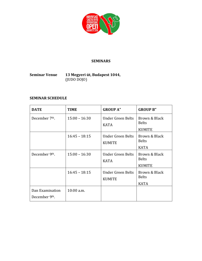

## **SEMINARS**

## **Seminar Venue 13 Megyeri út, Budapest 1044,** (JUDO DOJO)

## **SEMINAR SCHEDULE**

| <b>DATE</b>                      | <b>TIME</b>     | <b>GROUP A"</b>                    | <b>GROUP B"</b>                                |
|----------------------------------|-----------------|------------------------------------|------------------------------------------------|
| December 7 <sup>th</sup> .       | $15:00 - 16:30$ | Under Green Belts<br><b>KATA</b>   | Brown & Black<br><b>Belts</b><br><b>KUMITE</b> |
|                                  | $16:45 - 18:15$ | Under Green Belts<br><b>KUMITE</b> | Brown & Black<br><b>Belts</b><br><b>KATA</b>   |
| December 9th.                    | $15:00 - 16:30$ | Under Green Belts<br><b>KATA</b>   | Brown & Black<br><b>Belts</b><br><b>KUMITE</b> |
|                                  | $16:45 - 18:15$ | Under Green Belts<br><b>KUMITE</b> | Brown & Black<br><b>Belts</b><br><b>KATA</b>   |
| Dan Examination<br>December 9th. | $10:00$ a.m.    |                                    |                                                |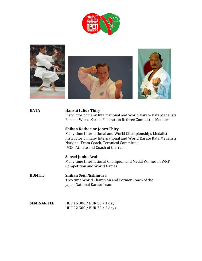



#### **KATA Hanshi Julius Thiry**

Instructor of many International and World Karate Kata Medalists Former World Karate Federation Referee Committee Member

#### **Shihan Katherine Jones Thiry**

Many time International and World Championships Medalist Instructor of many International and World Karate Kata Medalists National Team Coach, Technical Committee USOC Athlete and Coach of the Year

#### **Sensei Junko Arai**

Many time International Champion and Medal Winner in WKF Competition and World Games

**KUMITE Shihan Seiji Nishimura** Two time World Champion and Former Coach of the Japan National Karate Team

| <b>SEMINAR FEE</b> | HUF 15 000 / EUR 50 / 1 day  |
|--------------------|------------------------------|
|                    | HUF 22 500 / EUR 75 / 2 days |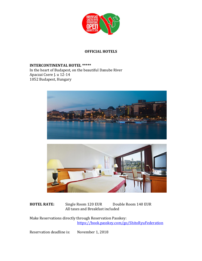

## **OFFICIAL HOTELS**

**INTERCONTINENTAL HOTEL \*\*\*\*\*** In the heart of Budapest, on the beautiful Danube River Apaczai Csere J. u 12-14 1052 Budapest, Hungary





## HOTEL RATE: Single Room 120 EUR Double Room 140 EUR All taxes and Breakfast included

Make Reservations directly through Reservation Passkey: <https://book.passkey.com/go/ShitoRyuFederation>

Reservation deadline is: November 1, 2018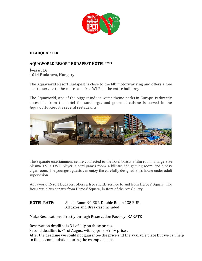

## **HEADQUARTER**

## **AQUAWORLD RESORT BUDAPEST HOTEL \*\*\*\***

## **Íves út 16 1044 Budapest, Hungary**

The Aquaworld Resort Budapest is close to the M0 motorway ring and offers a free shuttle service to the centre and free Wi-Fi in the entire building.

The Aquaworld, one of the biggest indoor water theme parks in Europe, is directly accessible from the hotel for surcharge, and gourmet cuisine is served in the Aquaworld Resort's several restaurants.



The separate entertainment centre connected to the hotel boasts a film room, a large-size plasma TV, a DVD player, a card games room, a billiard and gaming room, and a cosy cigar room. The youngest guests can enjoy the carefully designed kid's house under adult supervision.

Aquaworld Resort Budapest offers a free shuttle service to and from Heroes' Square. The free shuttle bus departs from Heroes' Square, in front of the Art Gallery.

## **HOTEL RATE:** Single Room 90 EUR Double Room 138 EUR All taxes and Breakfast included

Make Reservations directly through Reservation Passkey: KARATE

Reservation deadline is 31 of July on these prices.

Second deadline is 31 of August with approx. +20% prices.

After the deadline we could not guarantee the price and the available place but we can help to find accommodation during the championships.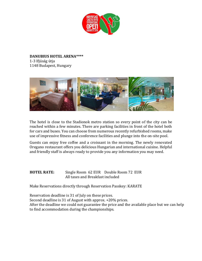

**DANUBIUS HOTEL ARENA\*\*\*\***  1-3 Ifjúság útja 1148 Budapest, Hungary



The hotel is close to the Stadionok metro station so every point of the city can be reached within a few minutes. There are parking facilities in front of the hotel both for cars and buses. You can choose from numerous recently refurbished rooms, make use of impressive fitness and conference facilities and plunge into the on-site pool.

Guests can enjoy free coffee and a croissant in the morning. The newly renovated Oregano restaurant offers you delicious Hungarian and international cuisine. Helpful and friendly staff is always ready to provide you any information you may need.

**HOTEL RATE:** Single Room 62 EUR Double Room 72 EUR All taxes and Breakfast included

Make Reservations directly through Reservation Passkey: KARATE

Reservation deadline is 31 of July on these prices. Second deadline is 31 of August with approx. +20% prices. After the deadline we could not guarantee the price and the available place but we can help to find accommodation during the championships.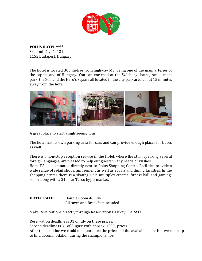

**PÓLUS HOTEL \*\*\*\*** Szentmihályi út 131. 1152 Budapest, Hungary

The hotel is located 300 metres from highway M3, being one of the main arteries of the capital and of Hungary. You can enriched at the Széchenyi-baths, Amusement park, the Zoo and the Hero's Square all located in the city park area about 15 minutes away from the hotel.



A great place to start a sightseeing tour.

The hotel has its own parking area for cars and can provide enough places for buses as well.

There is a non-stop reception service in the Hotel, where the staff, speaking several foreign languages, are pleased to help our guests in any needs or wishes. Hotel Pólus is situtated directly next to Pólus Shopping Centre. Facilities provide a wide range of retail shops, amusement as well as sports and dining facilities. In the shopping center there is a skating rink, multiplex cinema, fitness hall and gamingroom along with a 24 hour Tesco hypermarket.

**HOTEL RATE:** Double Room 40 EUR All taxes and Breakfast included

Make Reservations directly through Reservation Passkey: KARATE

Reservation deadline is 31 of July on these prices.

Second deadline is 31 of August with approx. +20% prices.

After the deadline we could not guarantee the price and the available place but we can help to find accommodation during the championships.